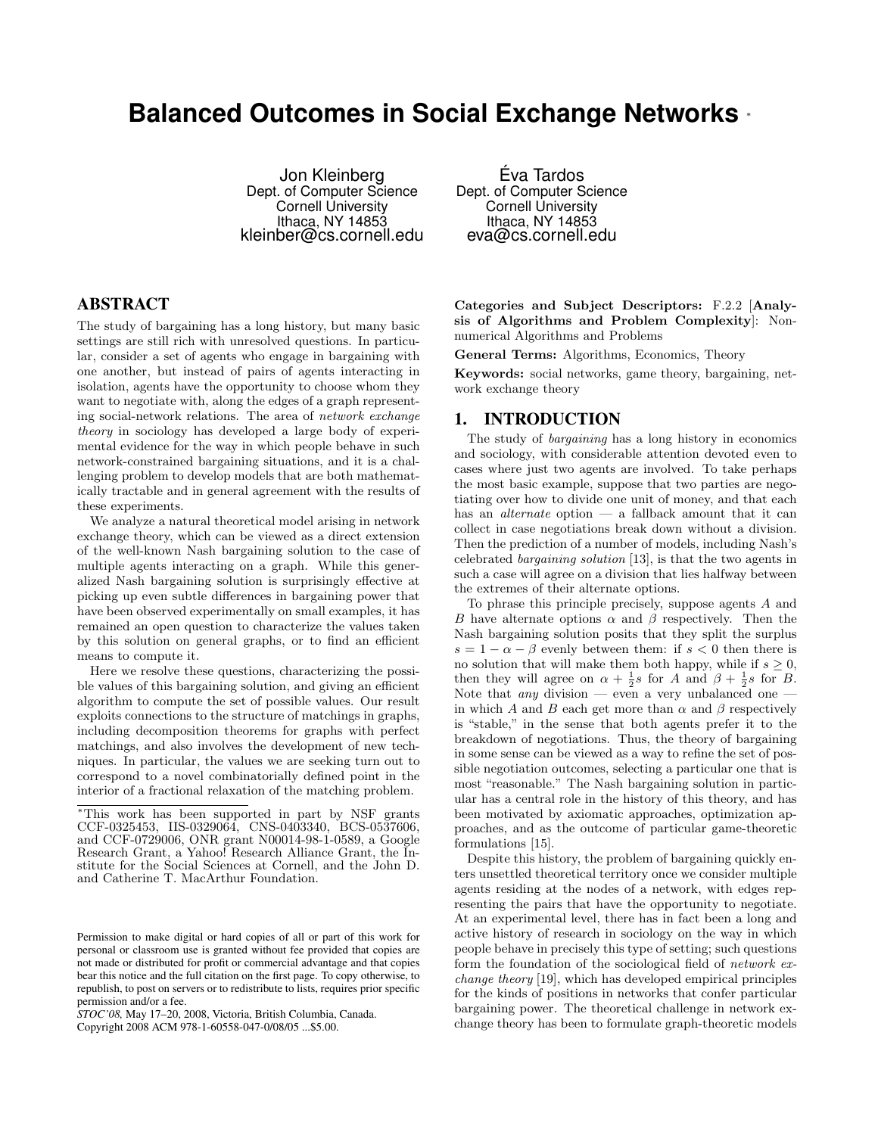# **Balanced Outcomes in Social Exchange Networks** <sup>∗</sup>

Jon Kleinberg Dept. of Computer Science Cornell University Ithaca, NY 14853 kleinber@cs.cornell.edu

## ABSTRACT

The study of bargaining has a long history, but many basic settings are still rich with unresolved questions. In particular, consider a set of agents who engage in bargaining with one another, but instead of pairs of agents interacting in isolation, agents have the opportunity to choose whom they want to negotiate with, along the edges of a graph representing social-network relations. The area of network exchange theory in sociology has developed a large body of experimental evidence for the way in which people behave in such network-constrained bargaining situations, and it is a challenging problem to develop models that are both mathematically tractable and in general agreement with the results of these experiments.

We analyze a natural theoretical model arising in network exchange theory, which can be viewed as a direct extension of the well-known Nash bargaining solution to the case of multiple agents interacting on a graph. While this generalized Nash bargaining solution is surprisingly effective at picking up even subtle differences in bargaining power that have been observed experimentally on small examples, it has remained an open question to characterize the values taken by this solution on general graphs, or to find an efficient means to compute it.

Here we resolve these questions, characterizing the possible values of this bargaining solution, and giving an efficient algorithm to compute the set of possible values. Our result exploits connections to the structure of matchings in graphs, including decomposition theorems for graphs with perfect matchings, and also involves the development of new techniques. In particular, the values we are seeking turn out to correspond to a novel combinatorially defined point in the interior of a fractional relaxation of the matching problem.

*STOC'08,* May 17–20, 2008, Victoria, British Columbia, Canada.

Copyright 2008 ACM 978-1-60558-047-0/08/05 ...\$5.00.

Éva Tardos Dept. of Computer Science Cornell University Ithaca, NY 14853 eva@cs.cornell.edu

Categories and Subject Descriptors: F.2.2 [Analysis of Algorithms and Problem Complexity]: Nonnumerical Algorithms and Problems

General Terms: Algorithms, Economics, Theory

Keywords: social networks, game theory, bargaining, network exchange theory

### 1. INTRODUCTION

The study of *bargaining* has a long history in economics and sociology, with considerable attention devoted even to cases where just two agents are involved. To take perhaps the most basic example, suppose that two parties are negotiating over how to divide one unit of money, and that each has an *alternate* option — a fallback amount that it can collect in case negotiations break down without a division. Then the prediction of a number of models, including Nash's celebrated bargaining solution [13], is that the two agents in such a case will agree on a division that lies halfway between the extremes of their alternate options.

To phrase this principle precisely, suppose agents A and B have alternate options  $\alpha$  and  $\beta$  respectively. Then the Nash bargaining solution posits that they split the surplus  $s = 1 - \alpha - \beta$  evenly between them: if  $s < 0$  then there is no solution that will make them both happy, while if  $s \geq 0$ , then they will agree on  $\alpha + \frac{1}{2}s$  for A and  $\beta + \frac{1}{2}s$  for B. Note that *any* division — even a very unbalanced one in which A and B each get more than  $\alpha$  and  $\beta$  respectively is "stable," in the sense that both agents prefer it to the breakdown of negotiations. Thus, the theory of bargaining in some sense can be viewed as a way to refine the set of possible negotiation outcomes, selecting a particular one that is most "reasonable." The Nash bargaining solution in particular has a central role in the history of this theory, and has been motivated by axiomatic approaches, optimization approaches, and as the outcome of particular game-theoretic formulations [15].

Despite this history, the problem of bargaining quickly enters unsettled theoretical territory once we consider multiple agents residing at the nodes of a network, with edges representing the pairs that have the opportunity to negotiate. At an experimental level, there has in fact been a long and active history of research in sociology on the way in which people behave in precisely this type of setting; such questions form the foundation of the sociological field of network exchange theory [19], which has developed empirical principles for the kinds of positions in networks that confer particular bargaining power. The theoretical challenge in network exchange theory has been to formulate graph-theoretic models

<sup>∗</sup>This work has been supported in part by NSF grants CCF-0325453, IIS-0329064, CNS-0403340, BCS-0537606, and CCF-0729006, ONR grant N00014-98-1-0589, a Google Research Grant, a Yahoo! Research Alliance Grant, the Institute for the Social Sciences at Cornell, and the John D. and Catherine T. MacArthur Foundation.

Permission to make digital or hard copies of all or part of this work for personal or classroom use is granted without fee provided that copies are not made or distributed for profit or commercial advantage and that copies bear this notice and the full citation on the first page. To copy otherwise, to republish, to post on servers or to redistribute to lists, requires prior specific permission and/or a fee.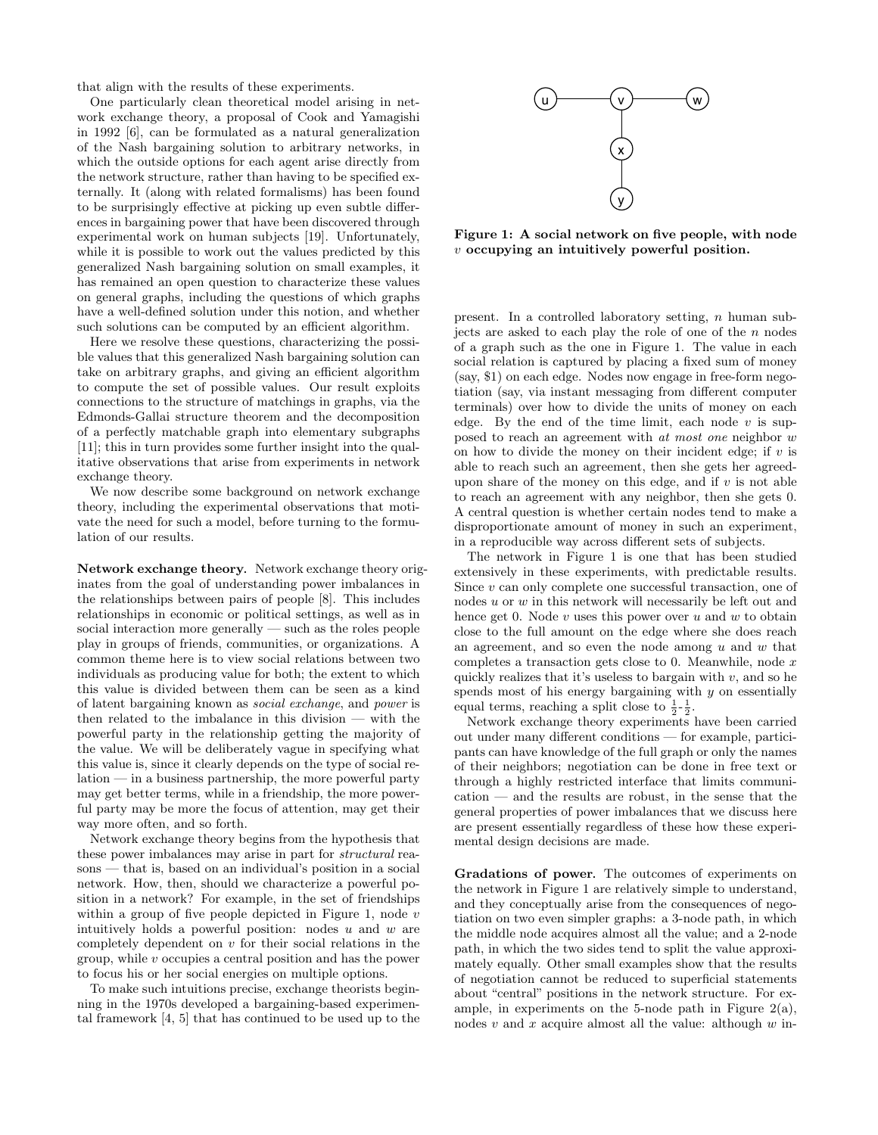that align with the results of these experiments.

One particularly clean theoretical model arising in network exchange theory, a proposal of Cook and Yamagishi in 1992 [6], can be formulated as a natural generalization of the Nash bargaining solution to arbitrary networks, in which the outside options for each agent arise directly from the network structure, rather than having to be specified externally. It (along with related formalisms) has been found to be surprisingly effective at picking up even subtle differences in bargaining power that have been discovered through experimental work on human subjects [19]. Unfortunately, while it is possible to work out the values predicted by this generalized Nash bargaining solution on small examples, it has remained an open question to characterize these values on general graphs, including the questions of which graphs have a well-defined solution under this notion, and whether such solutions can be computed by an efficient algorithm.

Here we resolve these questions, characterizing the possible values that this generalized Nash bargaining solution can take on arbitrary graphs, and giving an efficient algorithm to compute the set of possible values. Our result exploits connections to the structure of matchings in graphs, via the Edmonds-Gallai structure theorem and the decomposition of a perfectly matchable graph into elementary subgraphs [11]; this in turn provides some further insight into the qualitative observations that arise from experiments in network exchange theory.

We now describe some background on network exchange theory, including the experimental observations that motivate the need for such a model, before turning to the formulation of our results.

Network exchange theory*.* Network exchange theory originates from the goal of understanding power imbalances in the relationships between pairs of people [8]. This includes relationships in economic or political settings, as well as in social interaction more generally — such as the roles people play in groups of friends, communities, or organizations. A common theme here is to view social relations between two individuals as producing value for both; the extent to which this value is divided between them can be seen as a kind of latent bargaining known as social exchange, and power is then related to the imbalance in this division — with the powerful party in the relationship getting the majority of the value. We will be deliberately vague in specifying what this value is, since it clearly depends on the type of social relation — in a business partnership, the more powerful party may get better terms, while in a friendship, the more powerful party may be more the focus of attention, may get their way more often, and so forth.

Network exchange theory begins from the hypothesis that these power imbalances may arise in part for structural reasons — that is, based on an individual's position in a social network. How, then, should we characterize a powerful position in a network? For example, in the set of friendships within a group of five people depicted in Figure 1, node  $v$ intuitively holds a powerful position: nodes  $u$  and  $w$  are completely dependent on  $v$  for their social relations in the group, while v occupies a central position and has the power to focus his or her social energies on multiple options.

To make such intuitions precise, exchange theorists beginning in the 1970s developed a bargaining-based experimental framework [4, 5] that has continued to be used up to the



Figure 1: A social network on five people, with node v occupying an intuitively powerful position.

present. In a controlled laboratory setting, n human subjects are asked to each play the role of one of the  $n$  nodes of a graph such as the one in Figure 1. The value in each social relation is captured by placing a fixed sum of money (say, \$1) on each edge. Nodes now engage in free-form negotiation (say, via instant messaging from different computer terminals) over how to divide the units of money on each edge. By the end of the time limit, each node  $v$  is supposed to reach an agreement with at most one neighbor w on how to divide the money on their incident edge; if  $v$  is able to reach such an agreement, then she gets her agreedupon share of the money on this edge, and if  $v$  is not able to reach an agreement with any neighbor, then she gets 0. A central question is whether certain nodes tend to make a disproportionate amount of money in such an experiment, in a reproducible way across different sets of subjects.

The network in Figure 1 is one that has been studied extensively in these experiments, with predictable results. Since v can only complete one successful transaction, one of nodes u or w in this network will necessarily be left out and hence get 0. Node  $v$  uses this power over  $u$  and  $w$  to obtain close to the full amount on the edge where she does reach an agreement, and so even the node among  $u$  and  $w$  that completes a transaction gets close to  $0$ . Meanwhile, node  $x$ quickly realizes that it's useless to bargain with  $v$ , and so he spends most of his energy bargaining with  $y$  on essentially equal terms, reaching a split close to  $\frac{1}{2}$ - $\frac{1}{2}$ .

Network exchange theory experiments have been carried out under many different conditions — for example, participants can have knowledge of the full graph or only the names of their neighbors; negotiation can be done in free text or through a highly restricted interface that limits communication — and the results are robust, in the sense that the general properties of power imbalances that we discuss here are present essentially regardless of these how these experimental design decisions are made.

Gradations of power*.* The outcomes of experiments on the network in Figure 1 are relatively simple to understand, and they conceptually arise from the consequences of negotiation on two even simpler graphs: a 3-node path, in which the middle node acquires almost all the value; and a 2-node path, in which the two sides tend to split the value approximately equally. Other small examples show that the results of negotiation cannot be reduced to superficial statements about "central" positions in the network structure. For example, in experiments on the 5-node path in Figure  $2(a)$ , nodes  $v$  and  $x$  acquire almost all the value: although  $w$  in-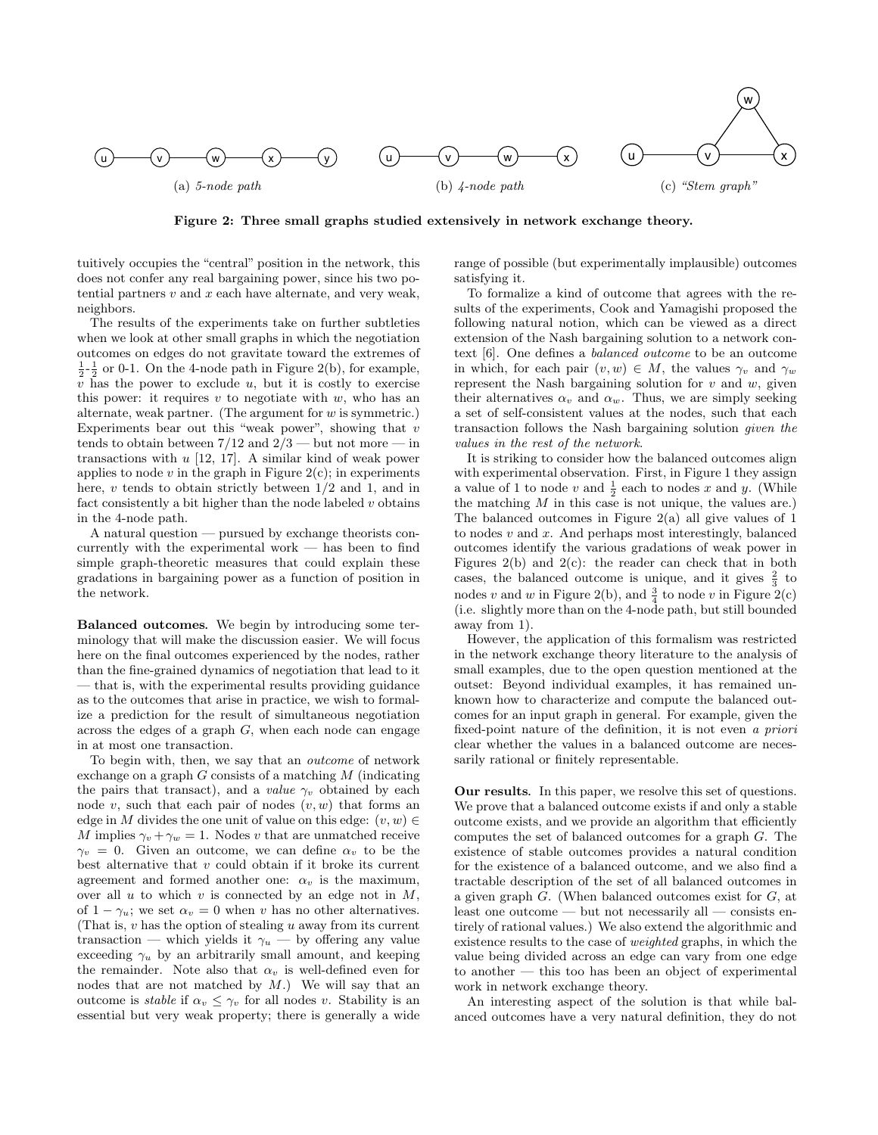

Figure 2: Three small graphs studied extensively in network exchange theory.

tuitively occupies the "central" position in the network, this does not confer any real bargaining power, since his two potential partners  $v$  and  $x$  each have alternate, and very weak, neighbors.

The results of the experiments take on further subtleties when we look at other small graphs in which the negotiation outcomes on edges do not gravitate toward the extremes of  $\frac{1}{2}$ - $\frac{1}{2}$  or 0-1. On the 4-node path in Figure 2(b), for example,  $v$  has the power to exclude  $u$ , but it is costly to exercise this power: it requires  $v$  to negotiate with  $w$ , who has an alternate, weak partner. (The argument for  $w$  is symmetric.) Experiments bear out this "weak power", showing that  $v$ tends to obtain between  $7/12$  and  $2/3$  — but not more — in transactions with  $u$  [12, 17]. A similar kind of weak power applies to node  $v$  in the graph in Figure  $2(c)$ ; in experiments here, v tends to obtain strictly between  $1/2$  and 1, and in fact consistently a bit higher than the node labeled  $v$  obtains in the 4-node path.

A natural question — pursued by exchange theorists concurrently with the experimental work  $-$  has been to find simple graph-theoretic measures that could explain these gradations in bargaining power as a function of position in the network.

Balanced outcomes*.* We begin by introducing some terminology that will make the discussion easier. We will focus here on the final outcomes experienced by the nodes, rather than the fine-grained dynamics of negotiation that lead to it — that is, with the experimental results providing guidance as to the outcomes that arise in practice, we wish to formalize a prediction for the result of simultaneous negotiation across the edges of a graph  $G$ , when each node can engage in at most one transaction.

To begin with, then, we say that an outcome of network exchange on a graph  $G$  consists of a matching  $M$  (indicating the pairs that transact), and a value  $\gamma_v$  obtained by each node v, such that each pair of nodes  $(v, w)$  that forms an edge in M divides the one unit of value on this edge:  $(v, w) \in$ M implies  $\gamma_v + \gamma_w = 1$ . Nodes v that are unmatched receive  $\gamma_v = 0$ . Given an outcome, we can define  $\alpha_v$  to be the best alternative that  $v$  could obtain if it broke its current agreement and formed another one:  $\alpha_v$  is the maximum, over all  $u$  to which  $v$  is connected by an edge not in  $M$ , of  $1 - \gamma_u$ ; we set  $\alpha_v = 0$  when v has no other alternatives. (That is, v has the option of stealing u away from its current transaction — which yields it  $\gamma_u$  — by offering any value exceeding  $\gamma_u$  by an arbitrarily small amount, and keeping the remainder. Note also that  $\alpha_v$  is well-defined even for nodes that are not matched by  $M$ .) We will say that an outcome is *stable* if  $\alpha_v \leq \gamma_v$  for all nodes v. Stability is an essential but very weak property; there is generally a wide

range of possible (but experimentally implausible) outcomes satisfying it.

To formalize a kind of outcome that agrees with the results of the experiments, Cook and Yamagishi proposed the following natural notion, which can be viewed as a direct extension of the Nash bargaining solution to a network context [6]. One defines a balanced outcome to be an outcome in which, for each pair  $(v, w) \in M$ , the values  $\gamma_v$  and  $\gamma_w$ represent the Nash bargaining solution for  $v$  and  $w$ , given their alternatives  $\alpha_v$  and  $\alpha_w$ . Thus, we are simply seeking a set of self-consistent values at the nodes, such that each transaction follows the Nash bargaining solution given the values in the rest of the network.

It is striking to consider how the balanced outcomes align with experimental observation. First, in Figure 1 they assign a value of 1 to node v and  $\frac{1}{2}$  each to nodes x and y. (While the matching  $M$  in this case is not unique, the values are.) The balanced outcomes in Figure 2(a) all give values of 1 to nodes  $v$  and  $x$ . And perhaps most interestingly, balanced outcomes identify the various gradations of weak power in Figures 2(b) and 2(c): the reader can check that in both cases, the balanced outcome is unique, and it gives  $\frac{2}{3}$  to nodes v and w in Figure 2(b), and  $\frac{3}{4}$  to node v in Figure 2(c) (i.e. slightly more than on the 4-node path, but still bounded away from 1).

However, the application of this formalism was restricted in the network exchange theory literature to the analysis of small examples, due to the open question mentioned at the outset: Beyond individual examples, it has remained unknown how to characterize and compute the balanced outcomes for an input graph in general. For example, given the fixed-point nature of the definition, it is not even a priori clear whether the values in a balanced outcome are necessarily rational or finitely representable.

Our results*.* In this paper, we resolve this set of questions. We prove that a balanced outcome exists if and only a stable outcome exists, and we provide an algorithm that efficiently computes the set of balanced outcomes for a graph G. The existence of stable outcomes provides a natural condition for the existence of a balanced outcome, and we also find a tractable description of the set of all balanced outcomes in a given graph G. (When balanced outcomes exist for G, at least one outcome — but not necessarily all — consists entirely of rational values.) We also extend the algorithmic and existence results to the case of weighted graphs, in which the value being divided across an edge can vary from one edge to another — this too has been an object of experimental work in network exchange theory.

An interesting aspect of the solution is that while balanced outcomes have a very natural definition, they do not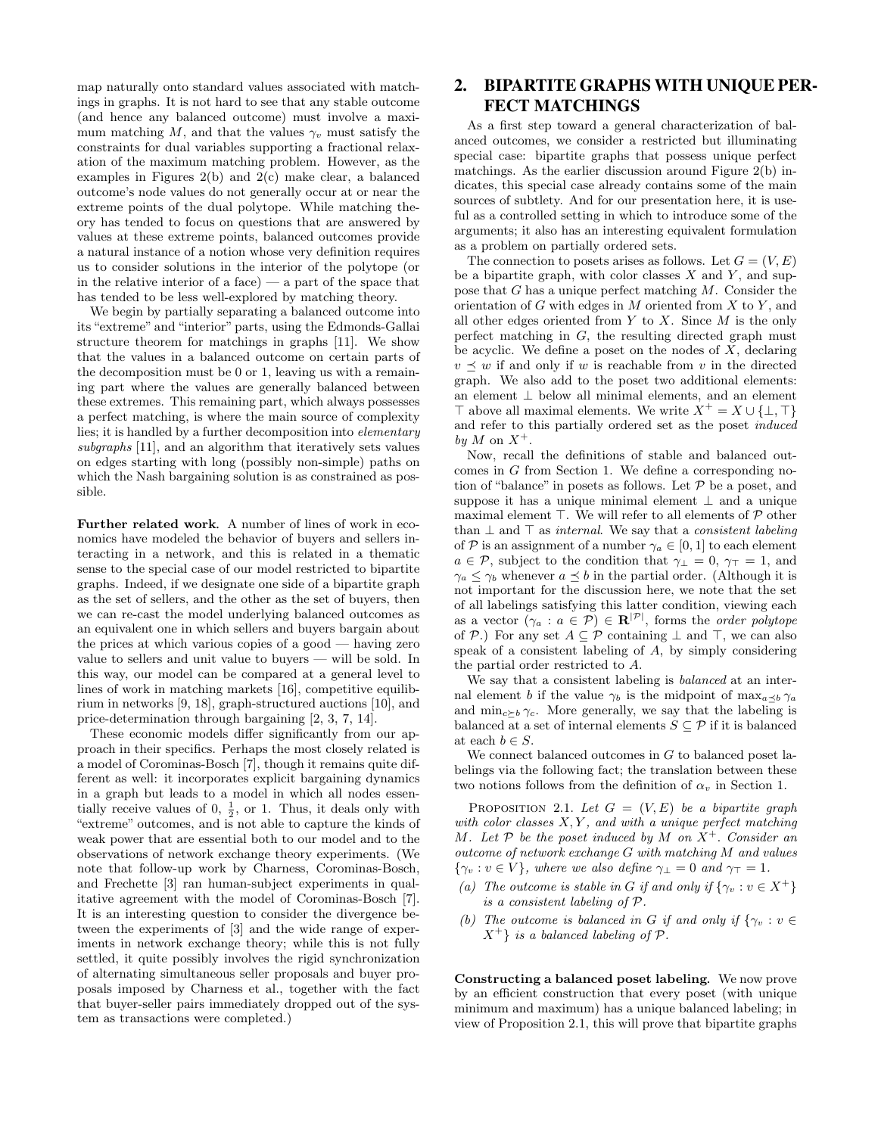map naturally onto standard values associated with matchings in graphs. It is not hard to see that any stable outcome (and hence any balanced outcome) must involve a maximum matching M, and that the values  $\gamma_v$  must satisfy the constraints for dual variables supporting a fractional relaxation of the maximum matching problem. However, as the examples in Figures 2(b) and 2(c) make clear, a balanced outcome's node values do not generally occur at or near the extreme points of the dual polytope. While matching theory has tended to focus on questions that are answered by values at these extreme points, balanced outcomes provide a natural instance of a notion whose very definition requires us to consider solutions in the interior of the polytope (or in the relative interior of a face)  $-$  a part of the space that has tended to be less well-explored by matching theory.

We begin by partially separating a balanced outcome into its "extreme" and "interior" parts, using the Edmonds-Gallai structure theorem for matchings in graphs [11]. We show that the values in a balanced outcome on certain parts of the decomposition must be 0 or 1, leaving us with a remaining part where the values are generally balanced between these extremes. This remaining part, which always possesses a perfect matching, is where the main source of complexity lies; it is handled by a further decomposition into elementary subgraphs [11], and an algorithm that iteratively sets values on edges starting with long (possibly non-simple) paths on which the Nash bargaining solution is as constrained as possible.

Further related work*.* A number of lines of work in economics have modeled the behavior of buyers and sellers interacting in a network, and this is related in a thematic sense to the special case of our model restricted to bipartite graphs. Indeed, if we designate one side of a bipartite graph as the set of sellers, and the other as the set of buyers, then we can re-cast the model underlying balanced outcomes as an equivalent one in which sellers and buyers bargain about the prices at which various copies of a good — having zero value to sellers and unit value to buyers — will be sold. In this way, our model can be compared at a general level to lines of work in matching markets [16], competitive equilibrium in networks [9, 18], graph-structured auctions [10], and price-determination through bargaining [2, 3, 7, 14].

These economic models differ significantly from our approach in their specifics. Perhaps the most closely related is a model of Corominas-Bosch [7], though it remains quite different as well: it incorporates explicit bargaining dynamics in a graph but leads to a model in which all nodes essentially receive values of 0,  $\frac{1}{2}$ , or 1. Thus, it deals only with "extreme" outcomes, and is not able to capture the kinds of weak power that are essential both to our model and to the observations of network exchange theory experiments. (We note that follow-up work by Charness, Corominas-Bosch, and Frechette [3] ran human-subject experiments in qualitative agreement with the model of Corominas-Bosch [7]. It is an interesting question to consider the divergence between the experiments of [3] and the wide range of experiments in network exchange theory; while this is not fully settled, it quite possibly involves the rigid synchronization of alternating simultaneous seller proposals and buyer proposals imposed by Charness et al., together with the fact that buyer-seller pairs immediately dropped out of the system as transactions were completed.)

# 2. BIPARTITE GRAPHS WITH UNIQUE PER-FECT MATCHINGS

As a first step toward a general characterization of balanced outcomes, we consider a restricted but illuminating special case: bipartite graphs that possess unique perfect matchings. As the earlier discussion around Figure 2(b) indicates, this special case already contains some of the main sources of subtlety. And for our presentation here, it is useful as a controlled setting in which to introduce some of the arguments; it also has an interesting equivalent formulation as a problem on partially ordered sets.

The connection to posets arises as follows. Let  $G = (V, E)$ be a bipartite graph, with color classes  $X$  and  $Y$ , and suppose that G has a unique perfect matching M. Consider the orientation of G with edges in M oriented from  $X$  to Y, and all other edges oriented from  $Y$  to  $X$ . Since  $M$  is the only perfect matching in G, the resulting directed graph must be acyclic. We define a poset on the nodes of  $X$ , declaring  $v \preceq w$  if and only if w is reachable from v in the directed graph. We also add to the poset two additional elements: an element ⊥ below all minimal elements, and an element  $\top$  above all maximal elements. We write  $X^+ = X \cup \{\bot, \top\}$ and refer to this partially ordered set as the poset induced by M on  $X^+$ .

Now, recall the definitions of stable and balanced outcomes in G from Section 1. We define a corresponding notion of "balance" in posets as follows. Let  $\mathcal P$  be a poset, and suppose it has a unique minimal element  $\perp$  and a unique maximal element  $\top$ . We will refer to all elements of  $P$  other than  $\perp$  and  $\top$  as *internal*. We say that a *consistent labeling* of P is an assignment of a number  $\gamma_a \in [0,1]$  to each element  $a \in \mathcal{P}$ , subject to the condition that  $\gamma_{\perp} = 0$ ,  $\gamma_{\perp} = 1$ , and  $\gamma_a \leq \gamma_b$  whenever  $a \preceq b$  in the partial order. (Although it is not important for the discussion here, we note that the set of all labelings satisfying this latter condition, viewing each as a vector  $(\gamma_a : a \in \mathcal{P}) \in \mathbf{R}^{|\mathcal{P}|}$ , forms the *order polytope* of P.) For any set  $A \subseteq \mathcal{P}$  containing  $\perp$  and  $\top$ , we can also speak of a consistent labeling of A, by simply considering the partial order restricted to A.

We say that a consistent labeling is *balanced* at an internal element b if the value  $\gamma_b$  is the midpoint of max<sub>a $\prec_b \gamma_a$ </sub> and  $\min_{c\geq b} \gamma_c$ . More generally, we say that the labeling is balanced at a set of internal elements  $S \subseteq \mathcal{P}$  if it is balanced at each  $b \in S$ .

We connect balanced outcomes in  $G$  to balanced poset labelings via the following fact; the translation between these two notions follows from the definition of  $\alpha_v$  in Section 1.

PROPOSITION 2.1. Let  $G = (V, E)$  be a bipartite graph with color classes  $X, Y$ , and with a unique perfect matching M. Let  $P$  be the poset induced by M on  $X^+$ . Consider an outcome of network exchange G with matching M and values  ${\gamma_v : v \in V}$ , where we also define  ${\gamma_\perp} = 0$  and  ${\gamma_\perp} = 1$ .

- (a) The outcome is stable in G if and only if  $\{\gamma_v : v \in X^+\}$ is a consistent labeling of P.
- (b) The outcome is balanced in G if and only if  $\{\gamma_v : v \in$  $X^+$  is a balanced labeling of  $\mathcal{P}$ .

Constructing a balanced poset labeling*.* We now prove by an efficient construction that every poset (with unique minimum and maximum) has a unique balanced labeling; in view of Proposition 2.1, this will prove that bipartite graphs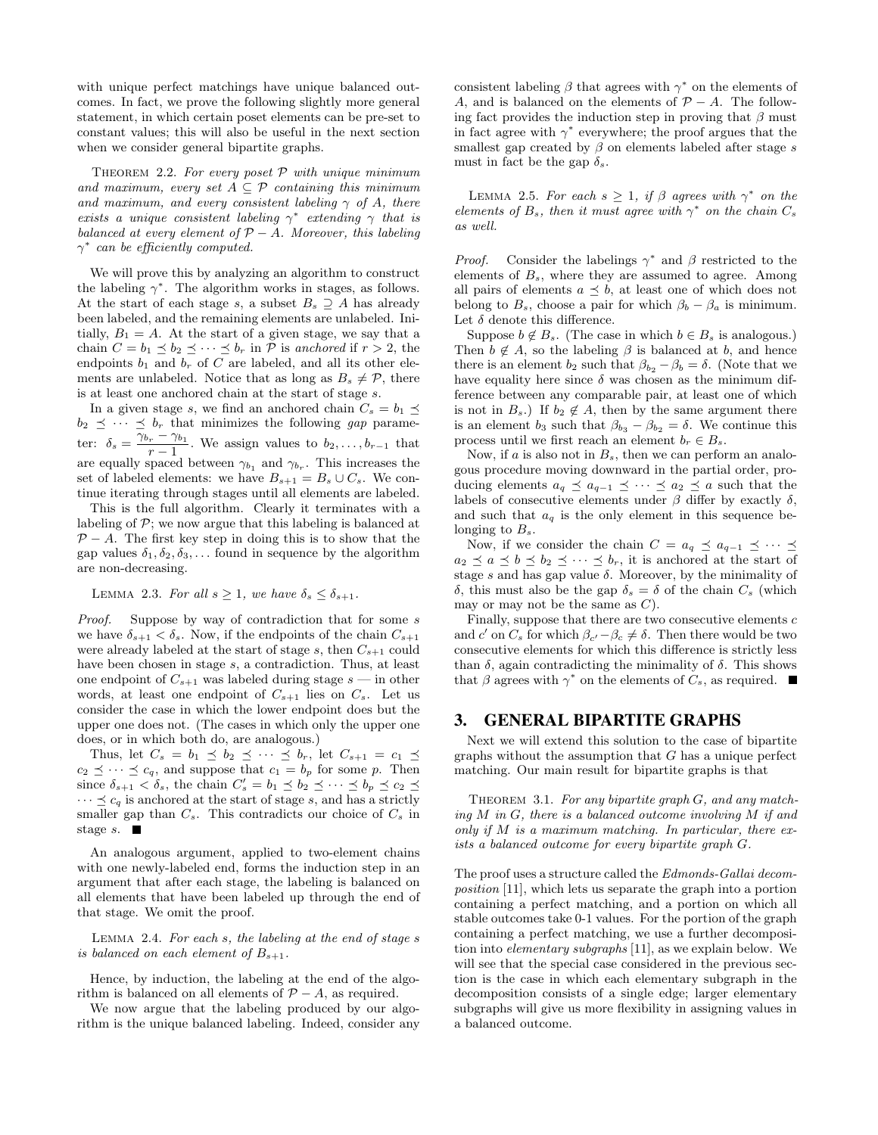with unique perfect matchings have unique balanced outcomes. In fact, we prove the following slightly more general statement, in which certain poset elements can be pre-set to constant values; this will also be useful in the next section when we consider general bipartite graphs.

THEOREM 2.2. For every poset  $P$  with unique minimum and maximum, every set  $A \subseteq \mathcal{P}$  containing this minimum and maximum, and every consistent labeling  $\gamma$  of A, there exists a unique consistent labeling  $\gamma^*$  extending  $\gamma$  that is balanced at every element of  $P - A$ . Moreover, this labeling  $\gamma^*$  can be efficiently computed.

We will prove this by analyzing an algorithm to construct the labeling  $\gamma^*$ . The algorithm works in stages, as follows. At the start of each stage s, a subset  $B_s \supseteq A$  has already been labeled, and the remaining elements are unlabeled. Initially,  $B_1 = A$ . At the start of a given stage, we say that a chain  $C = b_1 \leq b_2 \leq \cdots \leq b_r$  in  $P$  is anchored if  $r > 2$ , the endpoints  $b_1$  and  $b_r$  of C are labeled, and all its other elements are unlabeled. Notice that as long as  $B_s \neq \mathcal{P}$ , there is at least one anchored chain at the start of stage s.

In a given stage s, we find an anchored chain  $C_s = b_1 \preceq$  $b_2 \preceq \cdots \preceq b_r$  that minimizes the following gap parameter:  $\delta_s = \frac{\overline{\gamma}_{b_r} - \gamma_{b_1}}{1}$  $\frac{r}{r-1}$ . We assign values to  $b_2, \ldots, b_{r-1}$  that are equally spaced between  $\gamma_{b_1}$  and  $\gamma_{b_r}$ . This increases the set of labeled elements: we have  $B_{s+1} = B_s \cup C_s$ . We continue iterating through stages until all elements are labeled.

This is the full algorithm. Clearly it terminates with a labeling of  $P$ ; we now argue that this labeling is balanced at  $P - A$ . The first key step in doing this is to show that the gap values  $\delta_1, \delta_2, \delta_3, \ldots$  found in sequence by the algorithm are non-decreasing.

LEMMA 2.3. For all  $s \geq 1$ , we have  $\delta_s \leq \delta_{s+1}$ .

Proof. Suppose by way of contradiction that for some s we have  $\delta_{s+1} < \delta_s$ . Now, if the endpoints of the chain  $C_{s+1}$ were already labeled at the start of stage s, then  $C_{s+1}$  could have been chosen in stage s, a contradiction. Thus, at least one endpoint of  $C_{s+1}$  was labeled during stage  $s$  — in other words, at least one endpoint of  $C_{s+1}$  lies on  $C_s$ . Let us consider the case in which the lower endpoint does but the upper one does not. (The cases in which only the upper one does, or in which both do, are analogous.)

Thus, let  $C_s = b_1 \preceq b_2 \preceq \cdots \preceq b_r$ , let  $C_{s+1} = c_1 \preceq$  $c_2 \preceq \cdots \preceq c_q$ , and suppose that  $c_1 = b_p$  for some p. Then since  $\delta_{s+1} < \delta_s$ , the chain  $C'_s = b_1 \preceq b_2 \preceq \cdots \preceq b_p \preceq c_2 \preceq$  $\cdots \preceq c_q$  is anchored at the start of stage s, and has a strictly smaller gap than  $C_s$ . This contradicts our choice of  $C_s$  in stage  $s$ .  $\blacksquare$ 

An analogous argument, applied to two-element chains with one newly-labeled end, forms the induction step in an argument that after each stage, the labeling is balanced on all elements that have been labeled up through the end of that stage. We omit the proof.

Lemma 2.4. For each s, the labeling at the end of stage s is balanced on each element of  $B_{s+1}$ .

Hence, by induction, the labeling at the end of the algorithm is balanced on all elements of  $P - A$ , as required.

We now argue that the labeling produced by our algorithm is the unique balanced labeling. Indeed, consider any

consistent labeling  $\beta$  that agrees with  $\gamma^*$  on the elements of A, and is balanced on the elements of  $\mathcal{P} - A$ . The following fact provides the induction step in proving that  $\beta$  must in fact agree with  $\gamma^*$  everywhere; the proof argues that the smallest gap created by  $\beta$  on elements labeled after stage s must in fact be the gap  $\delta_s$ .

LEMMA 2.5. For each  $s \geq 1$ , if  $\beta$  agrees with  $\gamma^*$  on the elements of  $B_s$ , then it must agree with  $\gamma^*$  on the chain  $C_s$ as well.

*Proof.* Consider the labelings  $\gamma^*$  and  $\beta$  restricted to the elements of  $B_s$ , where they are assumed to agree. Among all pairs of elements  $a \preceq b$ , at least one of which does not belong to  $B_s$ , choose a pair for which  $\beta_b - \beta_a$  is minimum. Let  $\delta$  denote this difference.

Suppose  $b \notin B_s$ . (The case in which  $b \in B_s$  is analogous.) Then  $b \notin A$ , so the labeling  $\beta$  is balanced at b, and hence there is an element  $b_2$  such that  $\beta_{b_2} - \beta_b = \delta$ . (Note that we have equality here since  $\delta$  was chosen as the minimum difference between any comparable pair, at least one of which is not in  $B_s$ .) If  $b_2 \notin A$ , then by the same argument there is an element  $b_3$  such that  $\beta_{b_3} - \beta_{b_2} = \delta$ . We continue this process until we first reach an element  $b_r \in B_s$ .

Now, if  $a$  is also not in  $B_s$ , then we can perform an analogous procedure moving downward in the partial order, producing elements  $a_q \preceq a_{q-1} \preceq \cdots \preceq a_2 \preceq a$  such that the labels of consecutive elements under  $\beta$  differ by exactly  $\delta$ , and such that  $a_q$  is the only element in this sequence belonging to  $B_s$ .

Now, if we consider the chain  $C = a_q \preceq a_{q-1} \preceq \cdots \preceq$  $a_2 \preceq a \preceq b \preceq b_2 \preceq \cdots \preceq b_r$ , it is anchored at the start of stage s and has gap value  $\delta$ . Moreover, by the minimality of δ, this must also be the gap  $δ<sub>s</sub> = δ$  of the chain  $C<sub>s</sub>$  (which may or may not be the same as  $C$ ).

Finally, suppose that there are two consecutive elements  $c$ and c' on  $C_s$  for which  $\beta_{c'} - \beta_c \neq \delta$ . Then there would be two consecutive elements for which this difference is strictly less than  $\delta$ , again contradicting the minimality of  $\delta$ . This shows that  $\beta$  agrees with  $\gamma^*$  on the elements of  $C_s$ , as required.

#### 3. GENERAL BIPARTITE GRAPHS

Next we will extend this solution to the case of bipartite graphs without the assumption that  $G$  has a unique perfect matching. Our main result for bipartite graphs is that

THEOREM 3.1. For any bipartite graph  $G$ , and any matching  $M$  in  $G$ , there is a balanced outcome involving  $M$  if and only if  $M$  is a maximum matching. In particular, there exists a balanced outcome for every bipartite graph G.

The proof uses a structure called the Edmonds-Gallai decomposition [11], which lets us separate the graph into a portion containing a perfect matching, and a portion on which all stable outcomes take 0-1 values. For the portion of the graph containing a perfect matching, we use a further decomposition into elementary subgraphs [11], as we explain below. We will see that the special case considered in the previous section is the case in which each elementary subgraph in the decomposition consists of a single edge; larger elementary subgraphs will give us more flexibility in assigning values in a balanced outcome.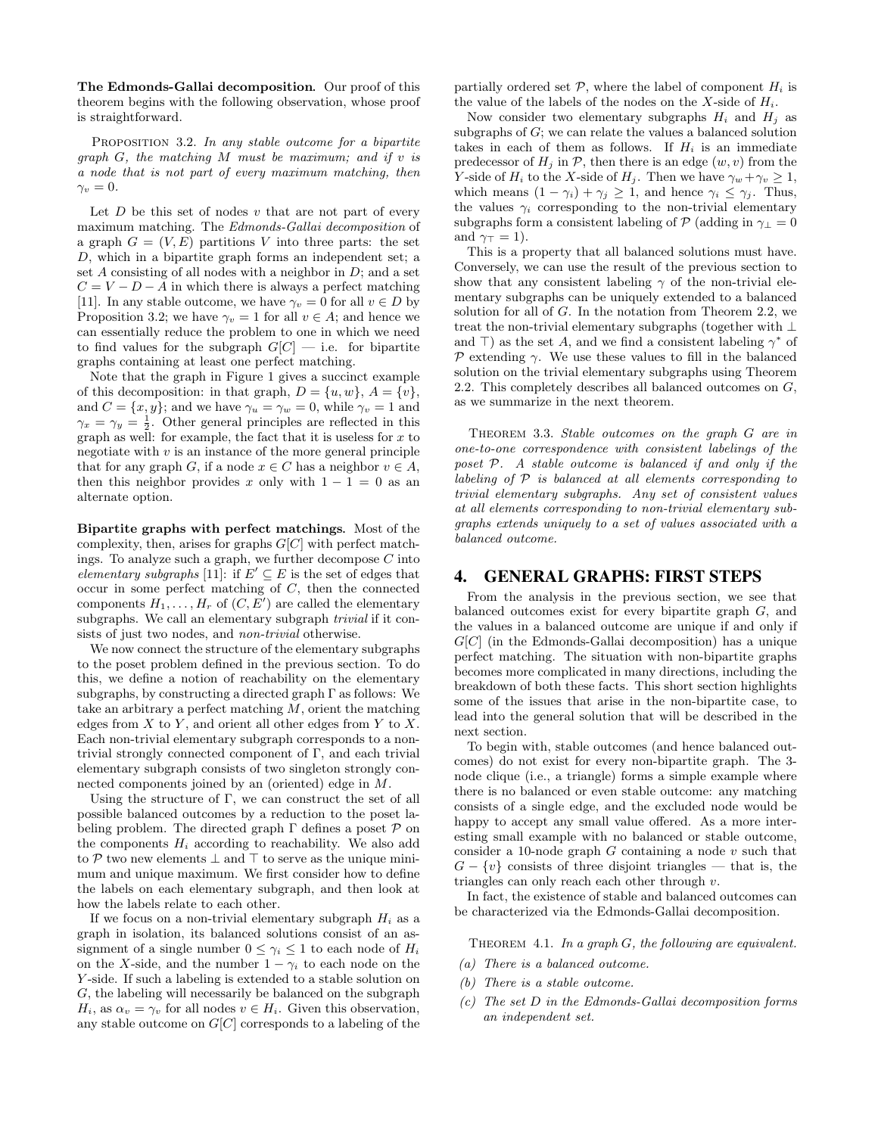The Edmonds-Gallai decomposition*.* Our proof of this theorem begins with the following observation, whose proof is straightforward.

PROPOSITION 3.2. In any stable outcome for a bipartite graph  $G$ , the matching  $M$  must be maximum; and if  $v$  is a node that is not part of every maximum matching, then  $\gamma_v = 0.$ 

Let  $D$  be this set of nodes  $v$  that are not part of every maximum matching. The Edmonds-Gallai decomposition of a graph  $G = (V, E)$  partitions V into three parts: the set D, which in a bipartite graph forms an independent set; a set A consisting of all nodes with a neighbor in  $D$ ; and a set  $C = V - D - A$  in which there is always a perfect matching [11]. In any stable outcome, we have  $\gamma_v = 0$  for all  $v \in D$  by Proposition 3.2; we have  $\gamma_v = 1$  for all  $v \in A$ ; and hence we can essentially reduce the problem to one in which we need to find values for the subgraph  $G[C]$  — i.e. for bipartite graphs containing at least one perfect matching.

Note that the graph in Figure 1 gives a succinct example of this decomposition: in that graph,  $D = \{u, w\}, A = \{v\},\$ and  $C = \{x, y\}$ ; and we have  $\gamma_u = \gamma_w = 0$ , while  $\gamma_v = 1$  and  $\gamma_x = \gamma_y = \frac{1}{2}$ . Other general principles are reflected in this graph as well: for example, the fact that it is useless for  $x$  to negotiate with  $v$  is an instance of the more general principle that for any graph G, if a node  $x \in C$  has a neighbor  $v \in A$ , then this neighbor provides x only with  $1 - 1 = 0$  as an alternate option.

Bipartite graphs with perfect matchings*.* Most of the complexity, then, arises for graphs  $G[C]$  with perfect matchings. To analyze such a graph, we further decompose  $C$  into elementary subgraphs [11]: if  $E' \subseteq E$  is the set of edges that occur in some perfect matching of C, then the connected components  $H_1, \ldots, H_r$  of  $(C, E')$  are called the elementary subgraphs. We call an elementary subgraph *trivial* if it consists of just two nodes, and *non-trivial* otherwise.

We now connect the structure of the elementary subgraphs to the poset problem defined in the previous section. To do this, we define a notion of reachability on the elementary subgraphs, by constructing a directed graph  $\Gamma$  as follows: We take an arbitrary a perfect matching  $M$ , orient the matching edges from  $X$  to  $Y$ , and orient all other edges from  $Y$  to  $X$ . Each non-trivial elementary subgraph corresponds to a nontrivial strongly connected component of  $\Gamma$ , and each trivial elementary subgraph consists of two singleton strongly connected components joined by an (oriented) edge in M.

Using the structure of  $\Gamma$ , we can construct the set of all possible balanced outcomes by a reduction to the poset labeling problem. The directed graph  $\Gamma$  defines a poset  $\mathcal P$  on the components  $H_i$  according to reachability. We also add to P two new elements  $\perp$  and  $\top$  to serve as the unique minimum and unique maximum. We first consider how to define the labels on each elementary subgraph, and then look at how the labels relate to each other.

If we focus on a non-trivial elementary subgraph  $H_i$  as a graph in isolation, its balanced solutions consist of an assignment of a single number  $0 \leq \gamma_i \leq 1$  to each node of  $H_i$ on the X-side, and the number  $1 - \gamma_i$  to each node on the Y-side. If such a labeling is extended to a stable solution on G, the labeling will necessarily be balanced on the subgraph  $H_i$ , as  $\alpha_v = \gamma_v$  for all nodes  $v \in H_i$ . Given this observation, any stable outcome on  $G[C]$  corresponds to a labeling of the

partially ordered set  $P$ , where the label of component  $H_i$  is the value of the labels of the nodes on the X-side of  $H_i$ .

Now consider two elementary subgraphs  $H_i$  and  $H_j$  as subgraphs of  $G$ ; we can relate the values a balanced solution takes in each of them as follows. If  $H_i$  is an immediate predecessor of  $H_i$  in  $\mathcal{P}$ , then there is an edge  $(w, v)$  from the Y-side of  $H_i$  to the X-side of  $H_j$ . Then we have  $\gamma_w + \gamma_v \geq 1$ , which means  $(1 - \gamma_i) + \gamma_j \geq 1$ , and hence  $\gamma_i \leq \gamma_j$ . Thus, the values  $\gamma_i$  corresponding to the non-trivial elementary subgraphs form a consistent labeling of  $\mathcal{P}$  (adding in  $\gamma_{\perp} = 0$ and  $\gamma_{\top} = 1$ ).

This is a property that all balanced solutions must have. Conversely, we can use the result of the previous section to show that any consistent labeling  $\gamma$  of the non-trivial elementary subgraphs can be uniquely extended to a balanced solution for all of  $G$ . In the notation from Theorem 2.2, we treat the non-trivial elementary subgraphs (together with ⊥ and  $\top$ ) as the set A, and we find a consistent labeling  $\gamma^*$  of  $P$  extending  $\gamma$ . We use these values to fill in the balanced solution on the trivial elementary subgraphs using Theorem 2.2. This completely describes all balanced outcomes on  $G$ , as we summarize in the next theorem.

Theorem 3.3. Stable outcomes on the graph G are in one-to-one correspondence with consistent labelings of the poset P. A stable outcome is balanced if and only if the labeling of  $P$  is balanced at all elements corresponding to trivial elementary subgraphs. Any set of consistent values at all elements corresponding to non-trivial elementary subgraphs extends uniquely to a set of values associated with a balanced outcome.

#### 4. GENERAL GRAPHS: FIRST STEPS

From the analysis in the previous section, we see that balanced outcomes exist for every bipartite graph G, and the values in a balanced outcome are unique if and only if  $G[C]$  (in the Edmonds-Gallai decomposition) has a unique perfect matching. The situation with non-bipartite graphs becomes more complicated in many directions, including the breakdown of both these facts. This short section highlights some of the issues that arise in the non-bipartite case, to lead into the general solution that will be described in the next section.

To begin with, stable outcomes (and hence balanced outcomes) do not exist for every non-bipartite graph. The 3 node clique (i.e., a triangle) forms a simple example where there is no balanced or even stable outcome: any matching consists of a single edge, and the excluded node would be happy to accept any small value offered. As a more interesting small example with no balanced or stable outcome, consider a 10-node graph  $G$  containing a node  $v$  such that  $G - \{v\}$  consists of three disjoint triangles — that is, the triangles can only reach each other through v.

In fact, the existence of stable and balanced outcomes can be characterized via the Edmonds-Gallai decomposition.

THEOREM 4.1. In a graph  $G$ , the following are equivalent.

- (a) There is a balanced outcome.
- (b) There is a stable outcome.
- (c) The set D in the Edmonds-Gallai decomposition forms an independent set.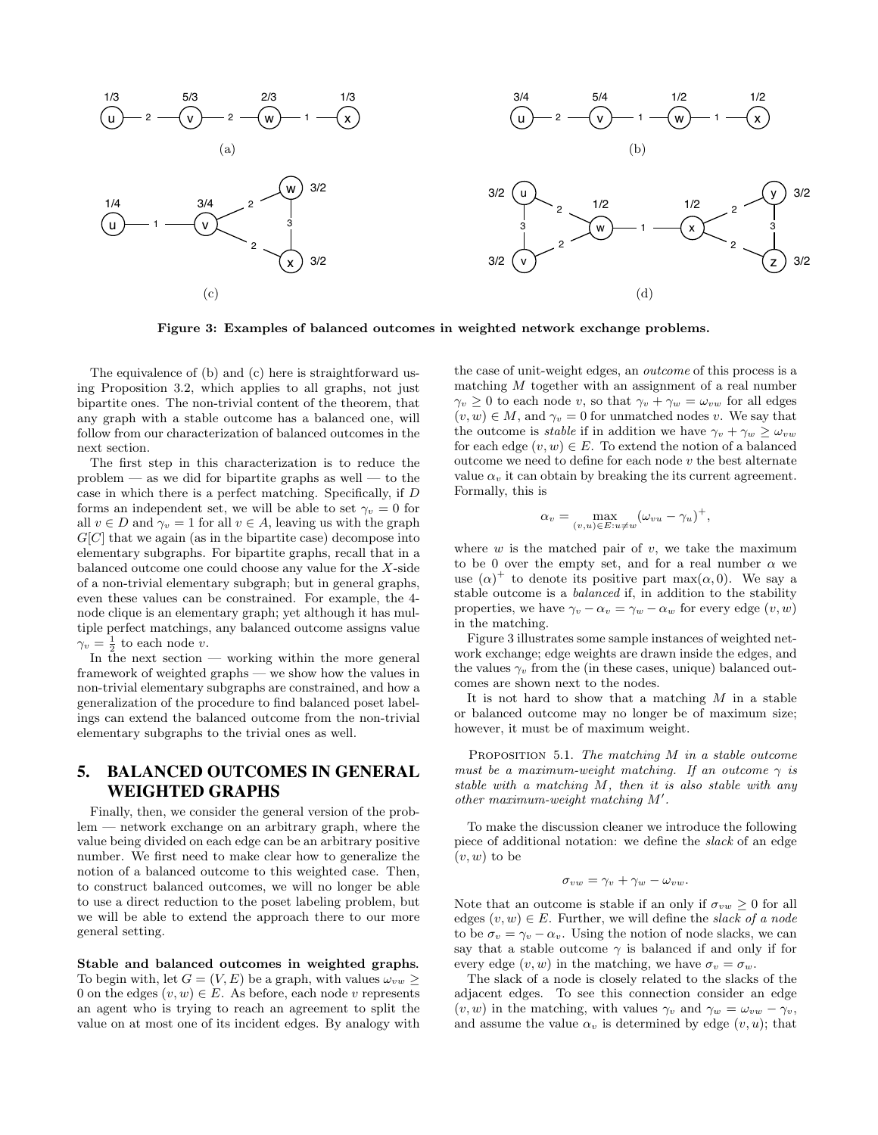

Figure 3: Examples of balanced outcomes in weighted network exchange problems.

The equivalence of (b) and (c) here is straightforward using Proposition 3.2, which applies to all graphs, not just bipartite ones. The non-trivial content of the theorem, that any graph with a stable outcome has a balanced one, will follow from our characterization of balanced outcomes in the next section.

The first step in this characterization is to reduce the  $problem$  — as we did for bipartite graphs as well — to the case in which there is a perfect matching. Specifically, if D forms an independent set, we will be able to set  $\gamma_v = 0$  for all  $v \in D$  and  $\gamma_v = 1$  for all  $v \in A$ , leaving us with the graph  $G[C]$  that we again (as in the bipartite case) decompose into elementary subgraphs. For bipartite graphs, recall that in a balanced outcome one could choose any value for the X-side of a non-trivial elementary subgraph; but in general graphs, even these values can be constrained. For example, the 4 node clique is an elementary graph; yet although it has multiple perfect matchings, any balanced outcome assigns value  $\gamma_v = \frac{1}{2}$  to each node v.

In the next section  $-$  working within the more general framework of weighted graphs — we show how the values in non-trivial elementary subgraphs are constrained, and how a generalization of the procedure to find balanced poset labelings can extend the balanced outcome from the non-trivial elementary subgraphs to the trivial ones as well.

# 5. BALANCED OUTCOMES IN GENERAL WEIGHTED GRAPHS

Finally, then, we consider the general version of the problem — network exchange on an arbitrary graph, where the value being divided on each edge can be an arbitrary positive number. We first need to make clear how to generalize the notion of a balanced outcome to this weighted case. Then, to construct balanced outcomes, we will no longer be able to use a direct reduction to the poset labeling problem, but we will be able to extend the approach there to our more general setting.

Stable and balanced outcomes in weighted graphs*.* To begin with, let  $G = (V, E)$  be a graph, with values  $\omega_{vw} \geq$ 0 on the edges  $(v, w) \in E$ . As before, each node v represents an agent who is trying to reach an agreement to split the value on at most one of its incident edges. By analogy with

the case of unit-weight edges, an outcome of this process is a matching M together with an assignment of a real number  $\gamma_v \geq 0$  to each node v, so that  $\gamma_v + \gamma_w = \omega_{vw}$  for all edges  $(v, w) \in M$ , and  $\gamma_v = 0$  for unmatched nodes v. We say that the outcome is *stable* if in addition we have  $\gamma_v + \gamma_w > \omega_{vw}$ for each edge  $(v, w) \in E$ . To extend the notion of a balanced outcome we need to define for each node  $v$  the best alternate value  $\alpha_v$  it can obtain by breaking the its current agreement. Formally, this is

$$
\alpha_v = \max_{(v,u)\in E: u \neq w} (\omega_{vu} - \gamma_u)^+,
$$

where  $w$  is the matched pair of  $v$ , we take the maximum to be 0 over the empty set, and for a real number  $\alpha$  we use  $(\alpha)^+$  to denote its positive part max $(\alpha, 0)$ . We say a stable outcome is a balanced if, in addition to the stability properties, we have  $\gamma_v - \alpha_v = \gamma_w - \alpha_w$  for every edge  $(v, w)$ in the matching.

Figure 3 illustrates some sample instances of weighted network exchange; edge weights are drawn inside the edges, and the values  $\gamma_v$  from the (in these cases, unique) balanced outcomes are shown next to the nodes.

It is not hard to show that a matching  $M$  in a stable or balanced outcome may no longer be of maximum size; however, it must be of maximum weight.

PROPOSITION 5.1. The matching  $M$  in a stable outcome must be a maximum-weight matching. If an outcome  $\gamma$  is stable with a matching M, then it is also stable with any other maximum-weight matching  $M'$ .

To make the discussion cleaner we introduce the following piece of additional notation: we define the slack of an edge  $(v, w)$  to be

$$
\sigma_{vw} = \gamma_v + \gamma_w - \omega_{vw}.
$$

Note that an outcome is stable if an only if  $\sigma_{vw} \geq 0$  for all edges  $(v, w) \in E$ . Further, we will define the slack of a node to be  $\sigma_v = \gamma_v - \alpha_v$ . Using the notion of node slacks, we can say that a stable outcome  $\gamma$  is balanced if and only if for every edge  $(v, w)$  in the matching, we have  $\sigma_v = \sigma_w$ .

The slack of a node is closely related to the slacks of the adjacent edges. To see this connection consider an edge  $(v, w)$  in the matching, with values  $\gamma_v$  and  $\gamma_w = \omega_{vw} - \gamma_v$ , and assume the value  $\alpha_v$  is determined by edge  $(v, u)$ ; that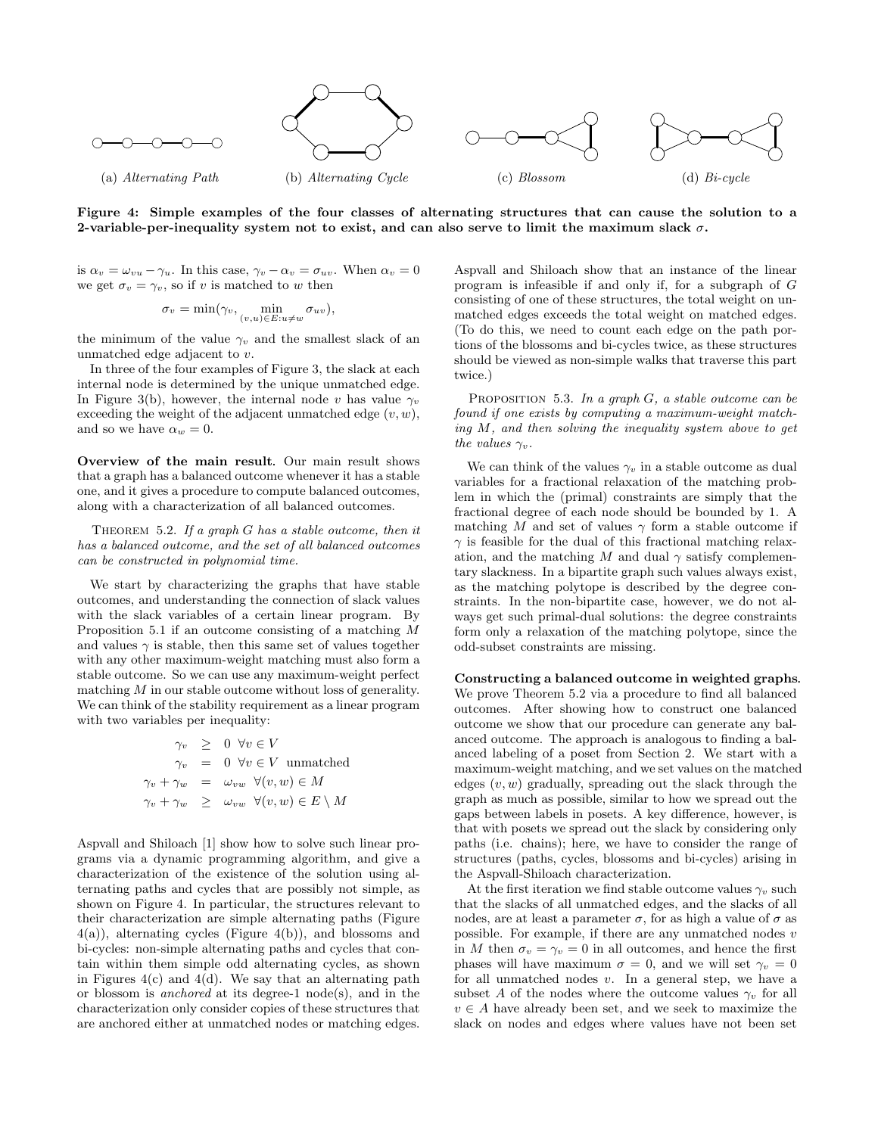

Figure 4: Simple examples of the four classes of alternating structures that can cause the solution to a 2-variable-per-inequality system not to exist, and can also serve to limit the maximum slack  $\sigma$ .

is  $\alpha_v = \omega_{vu} - \gamma_u$ . In this case,  $\gamma_v - \alpha_v = \sigma_{uv}$ . When  $\alpha_v = 0$ we get  $\sigma_v = \gamma_v$ , so if v is matched to w then

$$
\sigma_v = \min(\gamma_v, \min_{(v, u) \in E: u \neq w} \sigma_{uv}),
$$

the minimum of the value  $\gamma_v$  and the smallest slack of an unmatched edge adjacent to v.

In three of the four examples of Figure 3, the slack at each internal node is determined by the unique unmatched edge. In Figure 3(b), however, the internal node v has value  $\gamma_v$ exceeding the weight of the adjacent unmatched edge  $(v, w)$ , and so we have  $\alpha_w = 0$ .

Overview of the main result*.* Our main result shows that a graph has a balanced outcome whenever it has a stable one, and it gives a procedure to compute balanced outcomes, along with a characterization of all balanced outcomes.

THEOREM 5.2. If a graph  $G$  has a stable outcome, then it has a balanced outcome, and the set of all balanced outcomes can be constructed in polynomial time.

We start by characterizing the graphs that have stable outcomes, and understanding the connection of slack values with the slack variables of a certain linear program. By Proposition 5.1 if an outcome consisting of a matching M and values  $\gamma$  is stable, then this same set of values together with any other maximum-weight matching must also form a stable outcome. So we can use any maximum-weight perfect matching  $M$  in our stable outcome without loss of generality. We can think of the stability requirement as a linear program with two variables per inequality:

$$
\gamma_v \geq 0 \quad \forall v \in V
$$
  
\n
$$
\gamma_v = 0 \quad \forall v \in V \text{ unmatched}
$$
  
\n
$$
\gamma_v + \gamma_w = \omega_{vw} \quad \forall (v, w) \in M
$$
  
\n
$$
\gamma_v + \gamma_w \geq \omega_{vw} \quad \forall (v, w) \in E \setminus M
$$

Aspvall and Shiloach [1] show how to solve such linear programs via a dynamic programming algorithm, and give a characterization of the existence of the solution using alternating paths and cycles that are possibly not simple, as shown on Figure 4. In particular, the structures relevant to their characterization are simple alternating paths (Figure 4(a)), alternating cycles (Figure 4(b)), and blossoms and bi-cycles: non-simple alternating paths and cycles that contain within them simple odd alternating cycles, as shown in Figures  $4(c)$  and  $4(d)$ . We say that an alternating path or blossom is *anchored* at its degree-1 node(s), and in the characterization only consider copies of these structures that are anchored either at unmatched nodes or matching edges.

Aspvall and Shiloach show that an instance of the linear program is infeasible if and only if, for a subgraph of G consisting of one of these structures, the total weight on unmatched edges exceeds the total weight on matched edges. (To do this, we need to count each edge on the path portions of the blossoms and bi-cycles twice, as these structures should be viewed as non-simple walks that traverse this part twice.)

PROPOSITION 5.3. In a graph  $G$ , a stable outcome can be found if one exists by computing a maximum-weight matching M, and then solving the inequality system above to get the values  $\gamma_v$ .

We can think of the values  $\gamma_v$  in a stable outcome as dual variables for a fractional relaxation of the matching problem in which the (primal) constraints are simply that the fractional degree of each node should be bounded by 1. A matching M and set of values  $\gamma$  form a stable outcome if  $\gamma$  is feasible for the dual of this fractional matching relaxation, and the matching M and dual  $\gamma$  satisfy complementary slackness. In a bipartite graph such values always exist, as the matching polytope is described by the degree constraints. In the non-bipartite case, however, we do not always get such primal-dual solutions: the degree constraints form only a relaxation of the matching polytope, since the odd-subset constraints are missing.

Constructing a balanced outcome in weighted graphs*.* We prove Theorem 5.2 via a procedure to find all balanced outcomes. After showing how to construct one balanced outcome we show that our procedure can generate any balanced outcome. The approach is analogous to finding a balanced labeling of a poset from Section 2. We start with a maximum-weight matching, and we set values on the matched edges  $(v, w)$  gradually, spreading out the slack through the graph as much as possible, similar to how we spread out the gaps between labels in posets. A key difference, however, is that with posets we spread out the slack by considering only paths (i.e. chains); here, we have to consider the range of structures (paths, cycles, blossoms and bi-cycles) arising in the Aspvall-Shiloach characterization.

At the first iteration we find stable outcome values  $\gamma_v$  such that the slacks of all unmatched edges, and the slacks of all nodes, are at least a parameter  $\sigma$ , for as high a value of  $\sigma$  as possible. For example, if there are any unmatched nodes v in M then  $\sigma_v = \gamma_v = 0$  in all outcomes, and hence the first phases will have maximum  $\sigma = 0$ , and we will set  $\gamma_v = 0$ for all unmatched nodes  $v$ . In a general step, we have a subset A of the nodes where the outcome values  $\gamma_v$  for all  $v \in A$  have already been set, and we seek to maximize the slack on nodes and edges where values have not been set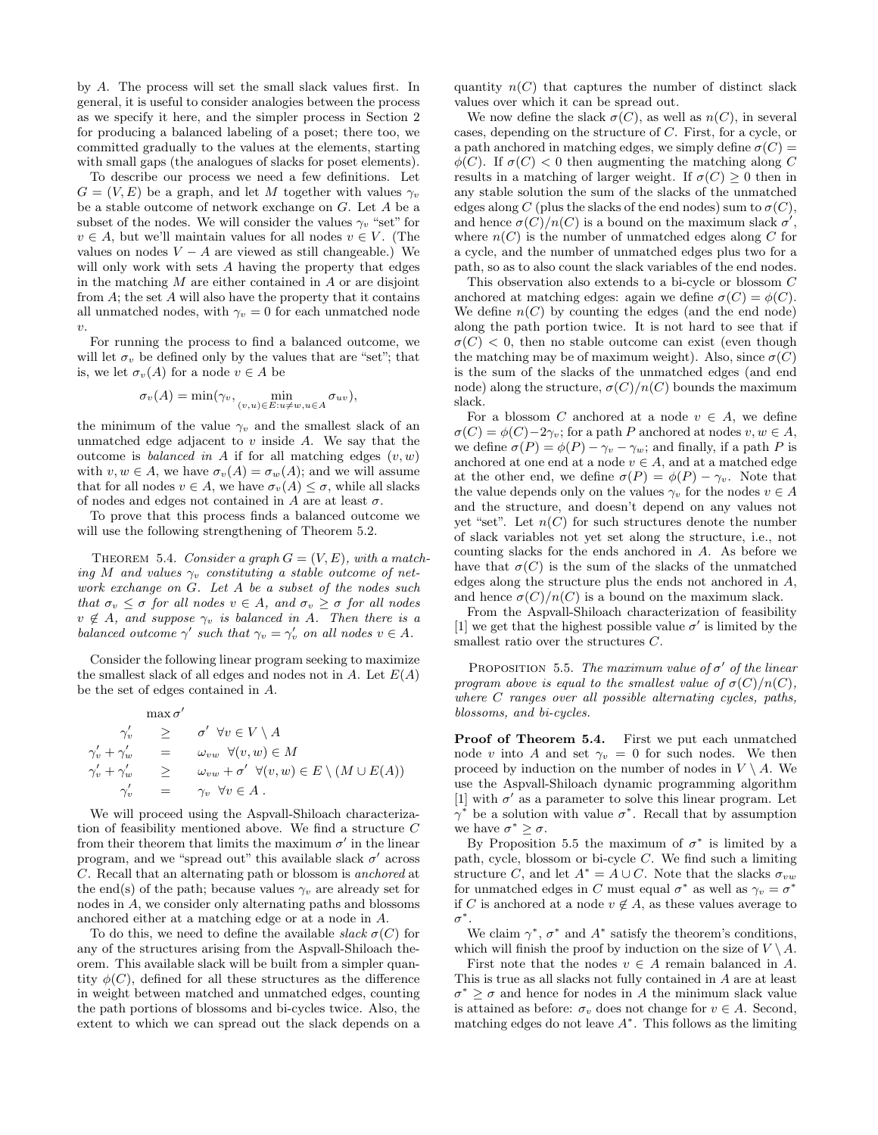by A. The process will set the small slack values first. In general, it is useful to consider analogies between the process as we specify it here, and the simpler process in Section 2 for producing a balanced labeling of a poset; there too, we committed gradually to the values at the elements, starting with small gaps (the analogues of slacks for poset elements).

To describe our process we need a few definitions. Let  $G = (V, E)$  be a graph, and let M together with values  $\gamma_v$ be a stable outcome of network exchange on G. Let A be a subset of the nodes. We will consider the values  $\gamma_v$  "set" for  $v \in A$ , but we'll maintain values for all nodes  $v \in V$ . (The values on nodes  $V - A$  are viewed as still changeable.) We will only work with sets A having the property that edges in the matching  $M$  are either contained in  $A$  or are disjoint from  $A$ ; the set  $A$  will also have the property that it contains all unmatched nodes, with  $\gamma_v = 0$  for each unmatched node  $\upsilon$ .

For running the process to find a balanced outcome, we will let  $\sigma_v$  be defined only by the values that are "set"; that is, we let  $\sigma_v(A)$  for a node  $v \in A$  be

$$
\sigma_v(A) = \min(\gamma_v, \min_{(v,u) \in E: u \neq w, u \in A} \sigma_{uv}),
$$

the minimum of the value  $\gamma_v$  and the smallest slack of an unmatched edge adjacent to  $v$  inside  $A$ . We say that the outcome is *balanced in A* if for all matching edges  $(v, w)$ with  $v, w \in A$ , we have  $\sigma_v(A) = \sigma_w(A)$ ; and we will assume that for all nodes  $v \in A$ , we have  $\sigma_v(A) \leq \sigma$ , while all slacks of nodes and edges not contained in A are at least  $\sigma$ .

To prove that this process finds a balanced outcome we will use the following strengthening of Theorem 5.2.

THEOREM 5.4. Consider a graph  $G = (V, E)$ , with a matching M and values  $\gamma_v$  constituting a stable outcome of network exchange on G. Let A be a subset of the nodes such that  $\sigma_v \leq \sigma$  for all nodes  $v \in A$ , and  $\sigma_v \geq \sigma$  for all nodes  $v \notin A$ , and suppose  $\gamma_v$  is balanced in A. Then there is a balanced outcome  $\gamma'$  such that  $\gamma_v = \gamma'_v$  on all nodes  $v \in A$ .

Consider the following linear program seeking to maximize the smallest slack of all edges and nodes not in  $A$ . Let  $E(A)$ be the set of edges contained in A.

$$
\max \sigma' \n\gamma'_v \geq \sigma' \forall v \in V \setminus A \n\gamma'_v + \gamma'_w = \omega_{vw} \forall (v, w) \in M \n\gamma'_v + \gamma'_w \geq \omega_{vw} + \sigma' \forall (v, w) \in E \setminus (M \cup E(A)) \n\gamma'_v = \gamma_v \forall v \in A.
$$

We will proceed using the Aspvall-Shiloach characterization of feasibility mentioned above. We find a structure C from their theorem that limits the maximum  $\sigma'$  in the linear program, and we "spread out" this available slack  $\sigma'$  across C. Recall that an alternating path or blossom is anchored at the end(s) of the path; because values  $\gamma_v$  are already set for nodes in A, we consider only alternating paths and blossoms anchored either at a matching edge or at a node in A.

To do this, we need to define the available slack  $\sigma(C)$  for any of the structures arising from the Aspvall-Shiloach theorem. This available slack will be built from a simpler quantity  $\phi(C)$ , defined for all these structures as the difference in weight between matched and unmatched edges, counting the path portions of blossoms and bi-cycles twice. Also, the extent to which we can spread out the slack depends on a

quantity  $n(C)$  that captures the number of distinct slack values over which it can be spread out.

We now define the slack  $\sigma(C)$ , as well as  $n(C)$ , in several cases, depending on the structure of C. First, for a cycle, or a path anchored in matching edges, we simply define  $\sigma(C)$  =  $\phi(C)$ . If  $\sigma(C) < 0$  then augmenting the matching along C results in a matching of larger weight. If  $\sigma(C) \geq 0$  then in any stable solution the sum of the slacks of the unmatched edges along C (plus the slacks of the end nodes) sum to  $\sigma(C)$ , and hence  $\sigma(C)/n(C)$  is a bound on the maximum slack  $\sigma'$ , where  $n(C)$  is the number of unmatched edges along C for a cycle, and the number of unmatched edges plus two for a path, so as to also count the slack variables of the end nodes.

This observation also extends to a bi-cycle or blossom C anchored at matching edges: again we define  $\sigma(C) = \phi(C)$ . We define  $n(C)$  by counting the edges (and the end node) along the path portion twice. It is not hard to see that if  $\sigma(C)$  < 0, then no stable outcome can exist (even though the matching may be of maximum weight). Also, since  $\sigma(C)$ is the sum of the slacks of the unmatched edges (and end node) along the structure,  $\sigma(C)/n(C)$  bounds the maximum slack.

For a blossom C anchored at a node  $v \in A$ , we define  $\sigma(C) = \phi(C) - 2\gamma_v$ ; for a path P anchored at nodes  $v, w \in A$ , we define  $\sigma(P) = \phi(P) - \gamma_v - \gamma_w$ ; and finally, if a path P is anchored at one end at a node  $v \in A$ , and at a matched edge at the other end, we define  $\sigma(P) = \phi(P) - \gamma_v$ . Note that the value depends only on the values  $\gamma_v$  for the nodes  $v \in A$ and the structure, and doesn't depend on any values not yet "set". Let  $n(C)$  for such structures denote the number of slack variables not yet set along the structure, i.e., not counting slacks for the ends anchored in A. As before we have that  $\sigma(C)$  is the sum of the slacks of the unmatched edges along the structure plus the ends not anchored in A, and hence  $\sigma(C)/n(C)$  is a bound on the maximum slack.

From the Aspvall-Shiloach characterization of feasibility [1] we get that the highest possible value  $\sigma'$  is limited by the smallest ratio over the structures  $C$ .

PROPOSITION 5.5. The maximum value of  $\sigma'$  of the linear program above is equal to the smallest value of  $\sigma(C)/n(C)$ , where C ranges over all possible alternating cycles, paths, blossoms, and bi-cycles.

Proof of Theorem 5.4. First we put each unmatched node v into A and set  $\gamma_v = 0$  for such nodes. We then proceed by induction on the number of nodes in  $V \setminus A$ . We use the Aspvall-Shiloach dynamic programming algorithm [1] with  $\sigma'$  as a parameter to solve this linear program. Let  $\gamma^*$  be a solution with value  $\sigma^*$ . Recall that by assumption we have  $\sigma^* \geq \sigma$ .

By Proposition 5.5 the maximum of  $\sigma^*$  is limited by a path, cycle, blossom or bi-cycle C. We find such a limiting structure C, and let  $A^* = A \cup C$ . Note that the slacks  $\sigma_{vw}$ for unmatched edges in C must equal  $\sigma^*$  as well as  $\gamma_v = \sigma^*$ if C is anchored at a node  $v \notin A$ , as these values average to  $\sigma^*$ .

We claim  $\gamma^*$ ,  $\sigma^*$  and  $A^*$  satisfy the theorem's conditions, which will finish the proof by induction on the size of  $V \setminus A$ .

First note that the nodes  $v \in A$  remain balanced in A. This is true as all slacks not fully contained in A are at least  $\sigma^* \geq \sigma$  and hence for nodes in A the minimum slack value is attained as before:  $\sigma_v$  does not change for  $v \in A$ . Second, matching edges do not leave  $A^*$ . This follows as the limiting